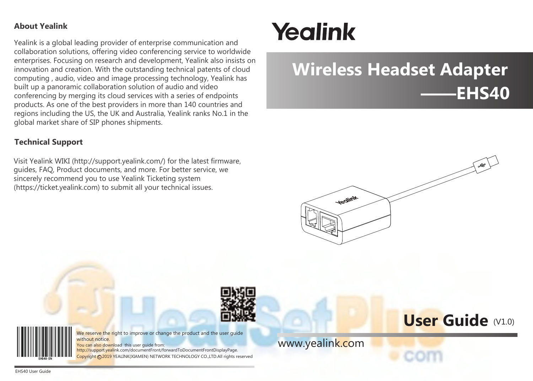## **About Yealink**

Yealink is a global leading provider of enterprise communication and collaboration solutions, offering video conferencing service to worldwide enterprises. Focusing on research and development, Yealink also insists on innovation and creation. With the outstanding technical patents of cloud computing , audio, video and image processing technology, Yealink has built up a panoramic collaboration solution of audio and video conferencing by merging its cloud services with a series of endpoints products. As one of the best providers in more than 140 countries and regions including the US, the UK and Australia, Yealink ranks No.1 in the global market share of SIP phones shipments.

## **Technical Support**

Visit Yealink WIKI (http://support.yealink.com/) for the latest firmware, guides, FAQ, Product documents, and more. For better service, we sincerely recommend you to use Yealink Ticketing system (https://ticket.yealink.com) to submit all your technical issues.

# Yealink

# **——EHS40 Wireless Headset Adapter**



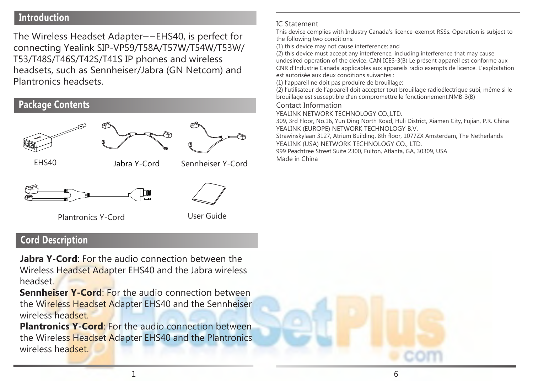# **Introduction Introduction**

The Wireless Headset Adapter——EHS40, is perfect for connecting Yealink SIP-VP59/T58A/T57W/T54W/T53W/ T53/T48S/T46S/T42S/T41S IP phones and wireless headsets, such as Sennheiser/Jabra (GN Netcom) and Plantronics headsets.

# **Package Contents**



Plantronics Y-Cord User Guide

# **Cord Description**

**Jabra Y-Cord**: For the audio connection between the Wireless Headset Adapter EHS40 and the Jabra wireless headset.

**Sennheiser Y-Cord**: For the audio connection between the Wireless Headset Adapter EHS40 and the Sennheiser wireless headset.

**Plantronics Y-Cord:** For the audio connection between the [Wireless Headset Adapter EHS40 and the Plantronics](https://headsetplus.com/product2191/product_info.html)  wireless headset.

#### IC Statement

This device complies with Industry Canada's licence-exempt RSSs. Operation is subject to the following two conditions:

(1) this device may not cause interference; and

(2) this device must accept any interference, including interference that may cause undesired operation of the device. CAN ICES-3(B) Le présent appareil est conforme aux CNR d'Industrie Canada applicables aux appareils radio exempts de licence. L'exploitation

est autorisée aux deux conditions suivantes :

(1) l'appareil ne doit pas produire de brouillage;

(2) l'utilisateur de l'appareil doit accepter tout brouillage radioélectrique subi, même si le brouillage est susceptible d'en compromettre le fonctionnement NMB-3(B)

Contact Information

**VEALINK NETWORK TECHNOLOGY CO. LTD.** 

309, 3rd Floor, No.16, Yun Ding North Road, Huli District, Xiamen City, Fujian, P.R. China YEALINK (EUROPE) NETWORK TECHNOLOGY B.V.

Strawinskylaan 3127, Atrium Building, 8th floor, 1077ZX Amsterdam, The Netherlands YEALINK (USA) NETWORK TECHNOLOGY CO., LTD.

999 Peachtree Street Suite 2300, Fulton, Atlanta, GA, 30309, USA Made in China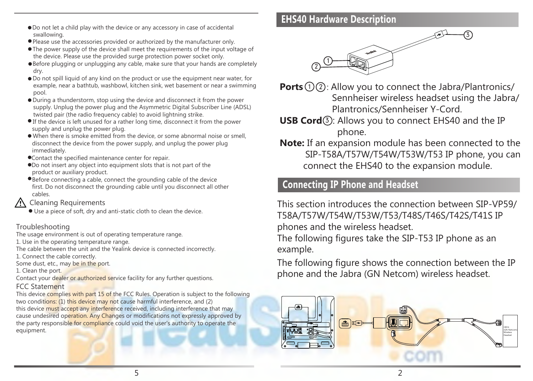- Do not let a child play with the device or any accessory in case of accidental swallowing.
- Please use the accessories provided or authorized by the manufacturer only.
- The power supply of the device shall meet the requirements of the input voltage of the device. Please use the provided surge protection power socket only.
- **Before plugging or unplugging any cable, make sure that your hands are completely** dry.
- Do not spill liquid of any kind on the product or use the equipment near water, for example, near a bathtub, washbowl, kitchen sink, wet basement or near a swimming pool.
- During a thunderstorm, stop using the device and disconnect it from the power supply. Unplug the power plug and the Asymmetric Digital Subscriber Line (ADSL) twisted pair (the radio frequency cable) to avoid lightning strike.
- If the device is left unused for a rather long time, disconnect it from the power supply and unplug the power plug.
- When there is smoke emitted from the device, or some abnormal noise or smell, disconnect the device from the power supply, and unplug the power plug immediately.
- Contact the specified maintenance center for repair.
- Do not insert any object into equipment slots that is not part of the product or auxiliary product.
- Before connecting a cable, connect the grounding cable of the device first. Do not disconnect the grounding cable until you disconnect all other cables.

# **A** Cleaning Requirements

Use a piece of soft, dry and anti-static cloth to clean the device.

## Troubleshooting

The usage environment is out of operating temperature range.

1. Use in the operating temperature range.

The cable between the unit and the Yealink device is connected incorrectly. 1. Connect the cable correctly.

Some dust, etc., may be in the port.

1. Clean the port.

Contact your dealer or authorized service facility for any further questions.

## FCC Statement

This device complies with part 15 of the FCC Rules. Operation is subject to the following two conditions: (1) this device may not cause harmful interference, and (2) this device must accept any interference received, including interference that may cause undesired operation. Any Changes or modifications not expressly approved by the party responsible for compliance could void the user's authority to operate the equipment.

# **EHS40 Hardware Description**



**Ports** (1) (2): Allow you to connect the Jabra/Plantronics/ Sennheiser wireless headset using the Jabra/ Plantronics/Sennheiser Y-Cord.

- **USB Cord**<sup>3</sup>: Allows you to connect EHS40 and the IP phone.
- **Note:** If an expansion module has been connected to the SIP-T58A/T57W/T54W/T53W/T53 IP phone, you can connect the EHS40 to the expansion module.

# **Connecting IP Phone and Headset**

This section introduces the connection between SIP-VP59/ T58A/T57W/T54W/T53W/T53/T48S/T46S/T42S/T41S IP phones and the wireless headset.

The following figures take the SIP-T53 IP phone as an example.

[The following figure shows the connection between](https://headsetplus.com/product2191/product_info.html) the IP phone and the Jabra (GN Netcom) wireless headset.